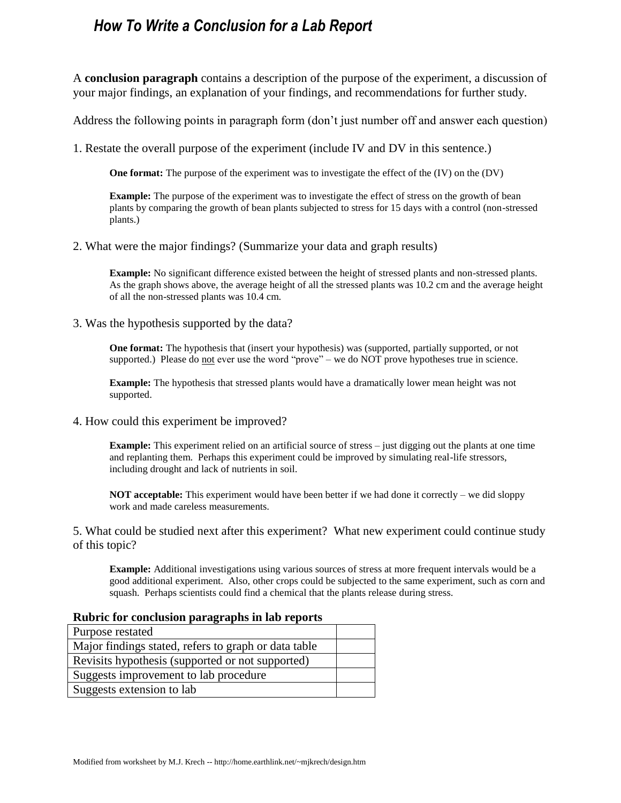### *How To Write a Conclusion for a Lab Report*

A **conclusion paragraph** contains a description of the purpose of the experiment, a discussion of your major findings, an explanation of your findings, and recommendations for further study.

Address the following points in paragraph form (don't just number off and answer each question)

1. Restate the overall purpose of the experiment (include IV and DV in this sentence.)

**One format:** The purpose of the experiment was to investigate the effect of the (IV) on the (DV)

**Example:** The purpose of the experiment was to investigate the effect of stress on the growth of bean plants by comparing the growth of bean plants subjected to stress for 15 days with a control (non-stressed plants.)

2. What were the major findings? (Summarize your data and graph results)

**Example:** No significant difference existed between the height of stressed plants and non-stressed plants. As the graph shows above, the average height of all the stressed plants was 10.2 cm and the average height of all the non-stressed plants was 10.4 cm.

3. Was the hypothesis supported by the data?

**One format:** The hypothesis that (insert your hypothesis) was (supported, partially supported, or not supported.) Please do not ever use the word "prove" – we do NOT prove hypotheses true in science.

**Example:** The hypothesis that stressed plants would have a dramatically lower mean height was not supported.

4. How could this experiment be improved?

**Example:** This experiment relied on an artificial source of stress – just digging out the plants at one time and replanting them. Perhaps this experiment could be improved by simulating real-life stressors, including drought and lack of nutrients in soil.

**NOT acceptable:** This experiment would have been better if we had done it correctly – we did sloppy work and made careless measurements.

5. What could be studied next after this experiment? What new experiment could continue study of this topic?

**Example:** Additional investigations using various sources of stress at more frequent intervals would be a good additional experiment. Also, other crops could be subjected to the same experiment, such as corn and squash. Perhaps scientists could find a chemical that the plants release during stress.

| Rubric for conclusion paragraphs in lab reports      |  |
|------------------------------------------------------|--|
| Purpose restated                                     |  |
| Major findings stated, refers to graph or data table |  |
| Revisits hypothesis (supported or not supported)     |  |
| Suggests improvement to lab procedure                |  |
| Suggests extension to lab                            |  |

### **Rubric for conclusion paragraphs in lab reports**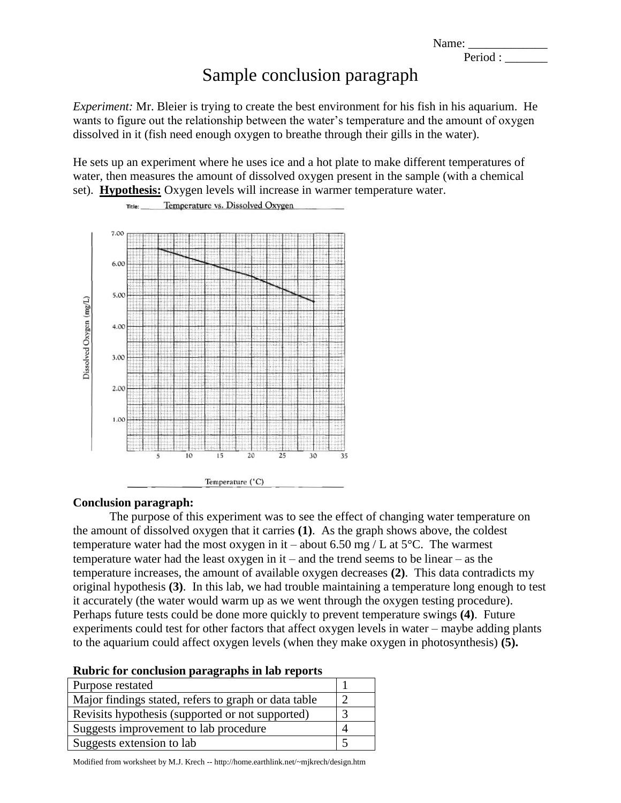Name:

Period :

## Sample conclusion paragraph

*Experiment:* Mr. Bleier is trying to create the best environment for his fish in his aquarium. He wants to figure out the relationship between the water's temperature and the amount of oxygen dissolved in it (fish need enough oxygen to breathe through their gills in the water).

He sets up an experiment where he uses ice and a hot plate to make different temperatures of water, then measures the amount of dissolved oxygen present in the sample (with a chemical set). **Hypothesis:** Oxygen levels will increase in warmer temperature water.



# Temperature vs. Dissolved Oxygen

#### **Conclusion paragraph:**

Title:

The purpose of this experiment was to see the effect of changing water temperature on the amount of dissolved oxygen that it carries **(1)**. As the graph shows above, the coldest temperature water had the most oxygen in it – about 6.50 mg / L at  $5^{\circ}$ C. The warmest temperature water had the least oxygen in it – and the trend seems to be linear – as the temperature increases, the amount of available oxygen decreases **(2)**. This data contradicts my original hypothesis **(3)**. In this lab, we had trouble maintaining a temperature long enough to test it accurately (the water would warm up as we went through the oxygen testing procedure). Perhaps future tests could be done more quickly to prevent temperature swings **(4)**. Future experiments could test for other factors that affect oxygen levels in water – maybe adding plants to the aquarium could affect oxygen levels (when they make oxygen in photosynthesis) **(5).**

| Purpose restated                                     |  |
|------------------------------------------------------|--|
| Major findings stated, refers to graph or data table |  |
| Revisits hypothesis (supported or not supported)     |  |
| Suggests improvement to lab procedure                |  |
| Suggests extension to lab                            |  |

Modified from worksheet by M.J. Krech -- http://home.earthlink.net/~mjkrech/design.htm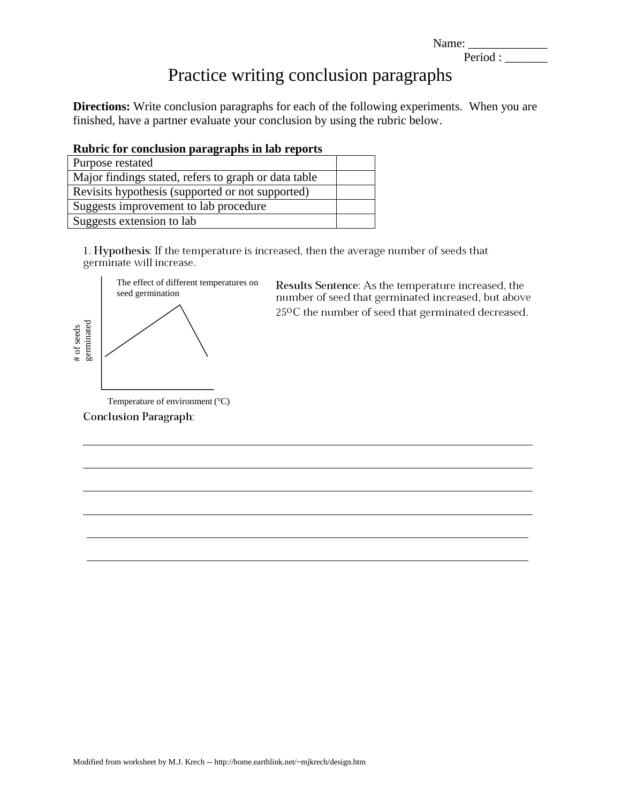| Name: |  |
|-------|--|
|-------|--|

## Period :

## Practice writing conclusion paragraphs

**Directions:** Write conclusion paragraphs for each of the following experiments. When you are finished, have a partner evaluate your conclusion by using the rubric below.

| Purpose restated                                     |  |
|------------------------------------------------------|--|
| Major findings stated, refers to graph or data table |  |
| Revisits hypothesis (supported or not supported)     |  |
| Suggests improvement to lab procedure                |  |
| Suggests extension to lab                            |  |

1. Hypothesis: If the temperature is increased, then the average number of seeds that germinate will increase.



Results Sentence: As the temperature increased, the number of seed that germinated increased, but above 25°C the number of seed that germinated decreased.

Temperature of environment (°C) **Conclusion Paragraph:**